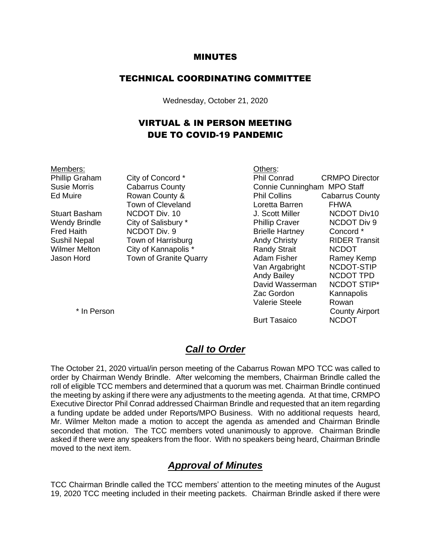#### MINUTES

#### TECHNICAL COORDINATING COMMITTEE

Wednesday, October 21, 2020

### VIRTUAL & IN PERSON MEETING DUE TO COVID-19 PANDEMIC

Members: Others:

Phillip Graham City of Concord \* Phil Conrad CRMPO Director

Susie Morris Cabarrus County Connie Cunningham MPO Staff Ed Muire Rowan County & Phil Collins Cabarrus County Town of Cleveland Loretta Barren FHWA Stuart Basham 
NCDOT Div. 10  $\qquad \qquad$  J. Scott Miller

NCDOT Div10 Wendy Brindle City of Salisbury \* Thillip Craver NCDOT Div 9 Fred Haith MCDOT Div. 9 Brielle Hartney Concord \* Sushil Nepal Town of Harrisburg **Andy Christy** RIDER Transit Wilmer Melton City of Kannapolis \* The Randy Strait RCDOT Jason Hord Town of Granite Quarry **Adam Fisher** Ramey Kemp<br>Van Argabright NCDOT-STIP Van Argabright Andy Bailey NCDOT TPD David Wasserman NCDOT STIP\* Zac Gordon Kannapolis Valerie Steele Rowan \* In Person County Airport

Burt Tasaico NCDOT

### *Call to Order*

The October 21, 2020 virtual/in person meeting of the Cabarrus Rowan MPO TCC was called to order by Chairman Wendy Brindle. After welcoming the members, Chairman Brindle called the roll of eligible TCC members and determined that a quorum was met. Chairman Brindle continued the meeting by asking if there were any adjustments to the meeting agenda. At that time, CRMPO Executive Director Phil Conrad addressed Chairman Brindle and requested that an item regarding a funding update be added under Reports/MPO Business. With no additional requests heard, Mr. Wilmer Melton made a motion to accept the agenda as amended and Chairman Brindle seconded that motion. The TCC members voted unanimously to approve. Chairman Brindle asked if there were any speakers from the floor. With no speakers being heard, Chairman Brindle moved to the next item.

#### *Approval of Minutes*

TCC Chairman Brindle called the TCC members' attention to the meeting minutes of the August 19, 2020 TCC meeting included in their meeting packets. Chairman Brindle asked if there were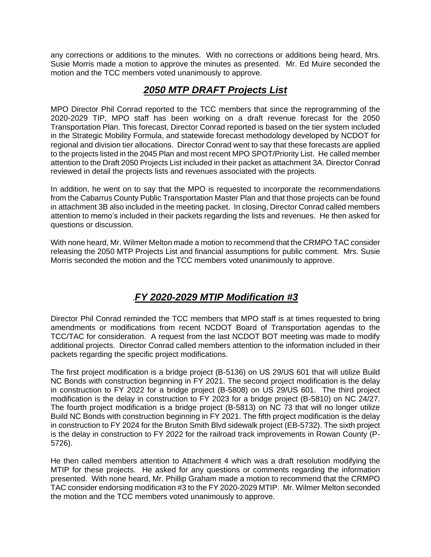any corrections or additions to the minutes. With no corrections or additions being heard, Mrs. Susie Morris made a motion to approve the minutes as presented. Mr. Ed Muire seconded the motion and the TCC members voted unanimously to approve.

### *2050 MTP DRAFT Projects List*

MPO Director Phil Conrad reported to the TCC members that since the reprogramming of the 2020-2029 TIP, MPO staff has been working on a draft revenue forecast for the 2050 Transportation Plan. This forecast, Director Conrad reported is based on the tier system included in the Strategic Mobility Formula, and statewide forecast methodology developed by NCDOT for regional and division tier allocations. Director Conrad went to say that these forecasts are applied to the projects listed in the 2045 Plan and most recent MPO SPOT/Priority List. He called member attention to the Draft 2050 Projects List included in their packet as attachment 3A. Director Conrad reviewed in detail the projects lists and revenues associated with the projects.

In addition, he went on to say that the MPO is requested to incorporate the recommendations from the Cabarrus County Public Transportation Master Plan and that those projects can be found in attachment 3B also included in the meeting packet. In closing, Director Conrad called members attention to memo's included in their packets regarding the lists and revenues. He then asked for questions or discussion.

With none heard, Mr. Wilmer Melton made a motion to recommend that the CRMPO TAC consider releasing the 2050 MTP Projects List and financial assumptions for public comment. Mrs. Susie Morris seconded the motion and the TCC members voted unanimously to approve.

# .*FY 2020-2029 MTIP Modification #3*

Director Phil Conrad reminded the TCC members that MPO staff is at times requested to bring amendments or modifications from recent NCDOT Board of Transportation agendas to the TCC/TAC for consideration. A request from the last NCDOT BOT meeting was made to modify additional projects. Director Conrad called members attention to the information included in their packets regarding the specific project modifications.

The first project modification is a bridge project (B-5136) on US 29/US 601 that will utilize Build NC Bonds with construction beginning in FY 2021. The second project modification is the delay in construction to FY 2022 for a bridge project (B-5808) on US 29/US 601. The third project modification is the delay in construction to FY 2023 for a bridge project (B-5810) on NC 24/27. The fourth project modification is a bridge project (B-5813) on NC 73 that will no longer utilize Build NC Bonds with construction beginning in FY 2021. The fifth project modification is the delay in construction to FY 2024 for the Bruton Smith Blvd sidewalk project (EB-5732). The sixth project is the delay in construction to FY 2022 for the railroad track improvements in Rowan County (P-5726).

He then called members attention to Attachment 4 which was a draft resolution modifying the MTIP for these projects. He asked for any questions or comments regarding the information presented. With none heard, Mr. Phillip Graham made a motion to recommend that the CRMPO TAC consider endorsing modification #3 to the FY 2020-2029 MTIP. Mr. Wilmer Melton seconded the motion and the TCC members voted unanimously to approve.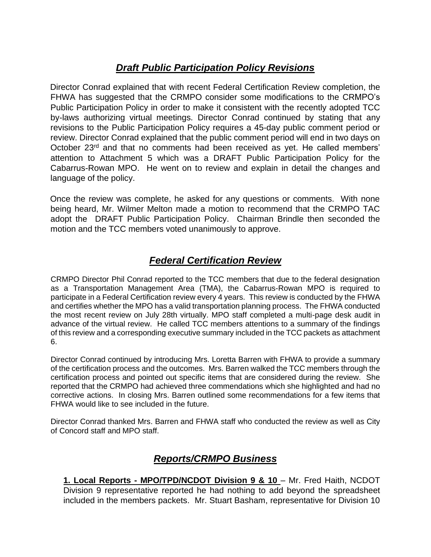# *Draft Public Participation Policy Revisions*

Director Conrad explained that with recent Federal Certification Review completion, the FHWA has suggested that the CRMPO consider some modifications to the CRMPO's Public Participation Policy in order to make it consistent with the recently adopted TCC by-laws authorizing virtual meetings. Director Conrad continued by stating that any revisions to the Public Participation Policy requires a 45-day public comment period or review. Director Conrad explained that the public comment period will end in two days on October 23<sup>rd</sup> and that no comments had been received as yet. He called members' attention to Attachment 5 which was a DRAFT Public Participation Policy for the Cabarrus-Rowan MPO. He went on to review and explain in detail the changes and language of the policy.

Once the review was complete, he asked for any questions or comments. With none being heard, Mr. Wilmer Melton made a motion to recommend that the CRMPO TAC adopt the DRAFT Public Participation Policy. Chairman Brindle then seconded the motion and the TCC members voted unanimously to approve.

# *Federal Certification Review*

CRMPO Director Phil Conrad reported to the TCC members that due to the federal designation as a Transportation Management Area (TMA), the Cabarrus-Rowan MPO is required to participate in a Federal Certification review every 4 years. This review is conducted by the FHWA and certifies whether the MPO has a valid transportation planning process. The FHWA conducted the most recent review on July 28th virtually. MPO staff completed a multi-page desk audit in advance of the virtual review. He called TCC members attentions to a summary of the findings of this review and a corresponding executive summary included in the TCC packets as attachment 6.

Director Conrad continued by introducing Mrs. Loretta Barren with FHWA to provide a summary of the certification process and the outcomes. Mrs. Barren walked the TCC members through the certification process and pointed out specific items that are considered during the review. She reported that the CRMPO had achieved three commendations which she highlighted and had no corrective actions. In closing Mrs. Barren outlined some recommendations for a few items that FHWA would like to see included in the future.

Director Conrad thanked Mrs. Barren and FHWA staff who conducted the review as well as City of Concord staff and MPO staff.

## *Reports/CRMPO Business*

**1. Local Reports - MPO/TPD/NCDOT Division 9 & 10** – Mr. Fred Haith, NCDOT Division 9 representative reported he had nothing to add beyond the spreadsheet included in the members packets. Mr. Stuart Basham, representative for Division 10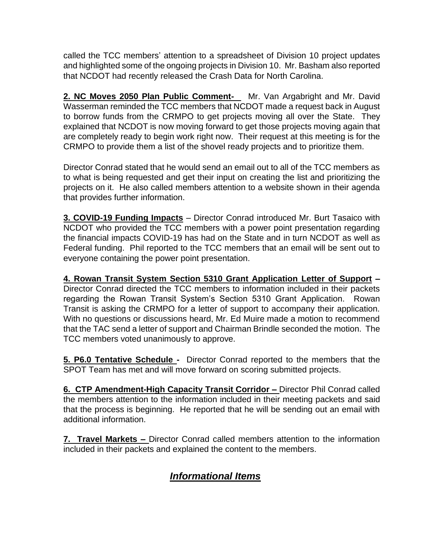called the TCC members' attention to a spreadsheet of Division 10 project updates and highlighted some of the ongoing projects in Division 10. Mr. Basham also reported that NCDOT had recently released the Crash Data for North Carolina.

2. NC Moves 2050 Plan Public Comment- Mr. Van Argabright and Mr. David Wasserman reminded the TCC members that NCDOT made a request back in August to borrow funds from the CRMPO to get projects moving all over the State. They explained that NCDOT is now moving forward to get those projects moving again that are completely ready to begin work right now. Their request at this meeting is for the CRMPO to provide them a list of the shovel ready projects and to prioritize them.

Director Conrad stated that he would send an email out to all of the TCC members as to what is being requested and get their input on creating the list and prioritizing the projects on it. He also called members attention to a website shown in their agenda that provides further information.

**3. COVID-19 Funding Impacts** – Director Conrad introduced Mr. Burt Tasaico with NCDOT who provided the TCC members with a power point presentation regarding the financial impacts COVID-19 has had on the State and in turn NCDOT as well as Federal funding. Phil reported to the TCC members that an email will be sent out to everyone containing the power point presentation.

**4. Rowan Transit System Section 5310 Grant Application Letter of Support –**  Director Conrad directed the TCC members to information included in their packets regarding the Rowan Transit System's Section 5310 Grant Application. Rowan Transit is asking the CRMPO for a letter of support to accompany their application. With no questions or discussions heard, Mr. Ed Muire made a motion to recommend that the TAC send a letter of support and Chairman Brindle seconded the motion. The TCC members voted unanimously to approve.

**5. P6.0 Tentative Schedule -** Director Conrad reported to the members that the SPOT Team has met and will move forward on scoring submitted projects.

**6. CTP Amendment-High Capacity Transit Corridor –** Director Phil Conrad called the members attention to the information included in their meeting packets and said that the process is beginning. He reported that he will be sending out an email with additional information.

**7. Travel Markets –** Director Conrad called members attention to the information included in their packets and explained the content to the members.

# *Informational Items*